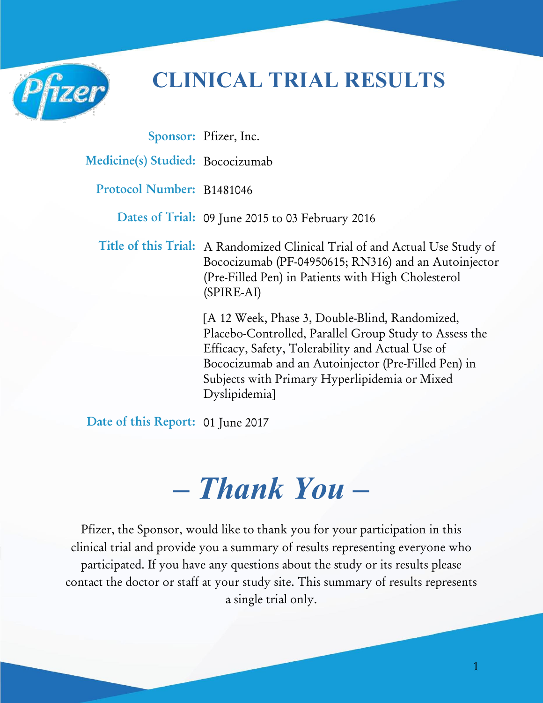

## **CLINICAL TRIAL RESULTS**

|                                  | Sponsor: Pfizer, Inc.                                                                                                                                                                                                                                                                 |
|----------------------------------|---------------------------------------------------------------------------------------------------------------------------------------------------------------------------------------------------------------------------------------------------------------------------------------|
| Medicine(s) Studied: Bococizumab |                                                                                                                                                                                                                                                                                       |
| Protocol Number: B1481046        |                                                                                                                                                                                                                                                                                       |
|                                  | Dates of Trial: 09 June 2015 to 03 February 2016                                                                                                                                                                                                                                      |
|                                  | Title of this Trial: A Randomized Clinical Trial of and Actual Use Study of<br>Bococizumab (PF-04950615; RN316) and an Autoinjector<br>(Pre-Filled Pen) in Patients with High Cholesterol<br>$(SPIRE-AI)$                                                                             |
|                                  | [A 12 Week, Phase 3, Double-Blind, Randomized,<br>Placebo-Controlled, Parallel Group Study to Assess the<br>Efficacy, Safety, Tolerability and Actual Use of<br>Bococizumab and an Autoinjector (Pre-Filled Pen) in<br>Subjects with Primary Hyperlipidemia or Mixed<br>Dyslipidemia] |

**Date of this Report:** 01 June 2017

# *– Thank You –*

Pfizer, the Sponsor, would like to thank you for your participation in this clinical trial and provide you a summary of results representing everyone who participated. If you have any questions about the study or its results please contact the doctor or staff at your study site. This summary of results represents a single trial only.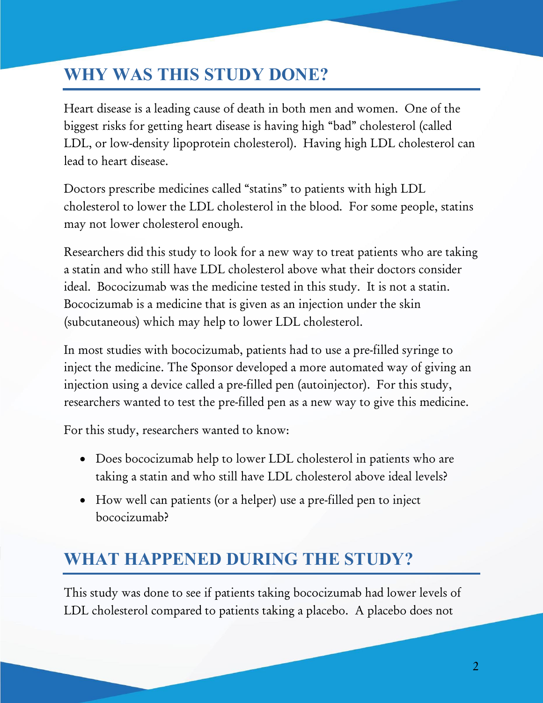### **WHY WAS THIS STUDY DONE?**

Heart disease is a leading cause of death in both men and women. One of the biggest risks for getting heart disease is having high "bad" cholesterol (called LDL, or low-density lipoprotein cholesterol). Having high LDL cholesterol can lead to heart disease.

Doctors prescribe medicines called "statins" to patients with high LDL cholesterol to lower the LDL cholesterol in the blood. For some people, statins may not lower cholesterol enough.

Researchers did this study to look for a new way to treat patients who are taking a statin and who still have LDL cholesterol above what their doctors consider ideal. Bococizumab was the medicine tested in this study. It is not a statin. Bococizumab is a medicine that is given as an injection under the skin (subcutaneous) which may help to lower LDL cholesterol.

In most studies with bococizumab, patients had to use a pre-filled syringe to inject the medicine. The Sponsor developed a more automated way of giving an injection using a device called a pre-filled pen (autoinjector). For this study, researchers wanted to test the pre-filled pen as a new way to give this medicine.

For this study, researchers wanted to know:

- Does bococizumab help to lower LDL cholesterol in patients who are taking a statin and who still have LDL cholesterol above ideal levels?
- How well can patients (or a helper) use a pre-filled pen to inject bococizumab?

### **WHAT HAPPENED DURING THE STUDY?**

This study was done to see if patients taking bococizumab had lower levels of LDL cholesterol compared to patients taking a placebo. A placebo does not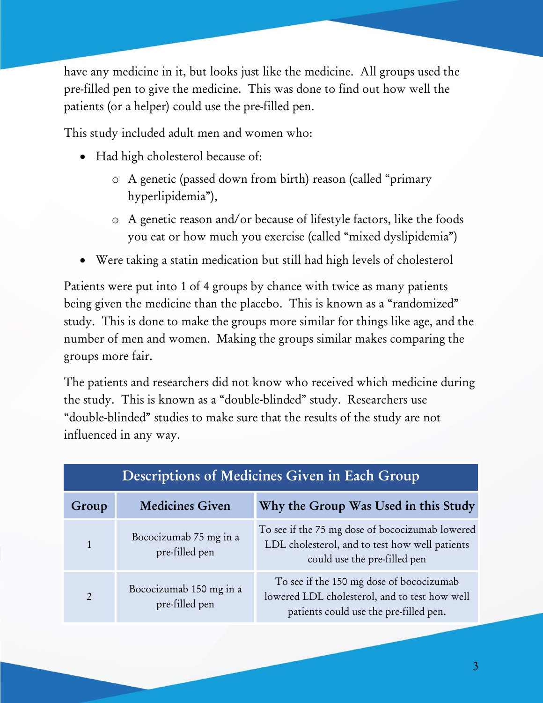have any medicine in it, but looks just like the medicine. All groups used the pre-filled pen to give the medicine. This was done to find out how well the patients (or a helper) could use the pre-filled pen.

This study included adult men and women who:

- Had high cholesterol because of:
	- o A genetic (passed down from birth) reason (called "primary hyperlipidemia"),
	- o A genetic reason and/or because of lifestyle factors, like the foods you eat or how much you exercise (called "mixed dyslipidemia")
- Were taking a statin medication but still had high levels of cholesterol

Patients were put into 1 of 4 groups by chance with twice as many patients being given the medicine than the placebo. This is known as a "randomized" study. This is done to make the groups more similar for things like age, and the number of men and women. Making the groups similar makes comparing the groups more fair.

The patients and researchers did not know who received which medicine during the study. This is known as a "double-blinded" study. Researchers use "double-blinded" studies to make sure that the results of the study are not influenced in any way.

| Descriptions of Medicines Given in Each Group |                                           |                                                                                                                                     |  |  |  |  |  |
|-----------------------------------------------|-------------------------------------------|-------------------------------------------------------------------------------------------------------------------------------------|--|--|--|--|--|
| Group                                         | <b>Medicines Given</b>                    | Why the Group Was Used in this Study                                                                                                |  |  |  |  |  |
| $\mathbf{1}$                                  | Bococizumab 75 mg in a<br>pre-filled pen  | To see if the 75 mg dose of bococizumab lowered<br>LDL cholesterol, and to test how well patients<br>could use the pre-filled pen   |  |  |  |  |  |
| $\overline{2}$                                | Bococizumab 150 mg in a<br>pre-filled pen | To see if the 150 mg dose of bococizumab<br>lowered LDL cholesterol, and to test how well<br>patients could use the pre-filled pen. |  |  |  |  |  |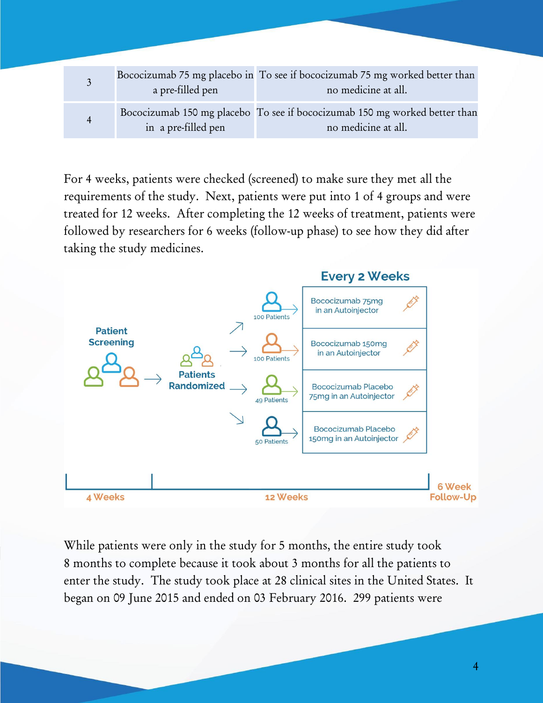|                | a pre-filled pen    | Bococizumab 75 mg placebo in To see if bococizumab 75 mg worked better than<br>no medicine at all. |
|----------------|---------------------|----------------------------------------------------------------------------------------------------|
| $\overline{4}$ | in a pre-filled pen | Bococizumab 150 mg placebo To see if bococizumab 150 mg worked better than<br>no medicine at all.  |

For 4 weeks, patients were checked (screened) to make sure they met all the requirements of the study. Next, patients were put into 1 of 4 groups and were treated for 12 weeks. After completing the 12 weeks of treatment, patients were followed by researchers for 6 weeks (follow-up phase) to see how they did after taking the study medicines.



While patients were only in the study for 5 months, the entire study took 8 months to complete because it took about 3 months for all the patients to enter the study. The study took place at 28 clinical sites in the United States. It began on 09 June 2015 and ended on 03 February 2016. 299 patients were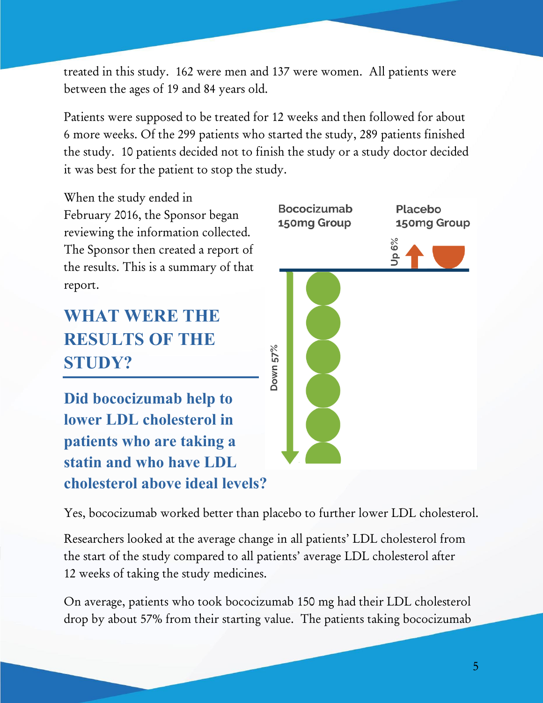treated in this study. 162 were men and 137 were women. All patients were between the ages of 19 and 84 years old.

Patients were supposed to be treated for 12 weeks and then followed for about 6 more weeks. Of the 299 patients who started the study, 289 patients finished the study. 10 patients decided not to finish the study or a study doctor decided it was best for the patient to stop the study.

When the study ended in February 2016, the Sponsor began reviewing the information collected. The Sponsor then created a report of the results. This is a summary of that report.

### **WHAT WERE THE RESULTS OF THE STUDY?**

**Did bococizumab help to lower LDL cholesterol in patients who are taking a statin and who have LDL cholesterol above ideal levels?** 



Yes, bococizumab worked better than placebo to further lower LDL cholesterol.

Researchers looked at the average change in all patients' LDL cholesterol from the start of the study compared to all patients' average LDL cholesterol after 12 weeks of taking the study medicines.

On average, patients who took bococizumab 150 mg had their LDL cholesterol drop by about 57% from their starting value. The patients taking bococizumab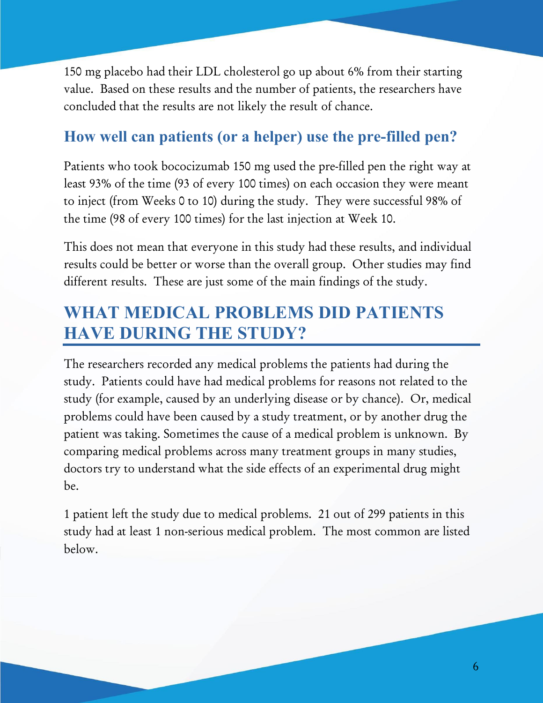150 mg placebo had their LDL cholesterol go up about 6% from their starting value. Based on these results and the number of patients, the researchers have concluded that the results are not likely the result of chance.

#### **How well can patients (or a helper) use the pre-filled pen?**

Patients who took bococizumab 150 mg used the pre-filled pen the right way at least 93% of the time (93 of every 100 times) on each occasion they were meant to inject (from Weeks 0 to 10) during the study. They were successful 98% of the time (98 of every 100 times) for the last injection at Week 10.

This does not mean that everyone in this study had these results, and individual results could be better or worse than the overall group. Other studies may find different results. These are just some of the main findings of the study.

### **WHAT MEDICAL PROBLEMS DID PATIENTS HAVE DURING THE STUDY?**

The researchers recorded any medical problems the patients had during the study. Patients could have had medical problems for reasons not related to the study (for example, caused by an underlying disease or by chance). Or, medical problems could have been caused by a study treatment, or by another drug the patient was taking. Sometimes the cause of a medical problem is unknown. By comparing medical problems across many treatment groups in many studies, doctors try to understand what the side effects of an experimental drug might be.

1 patient left the study due to medical problems. 21 out of 299 patients in this study had at least 1 non-serious medical problem. The most common are listed below.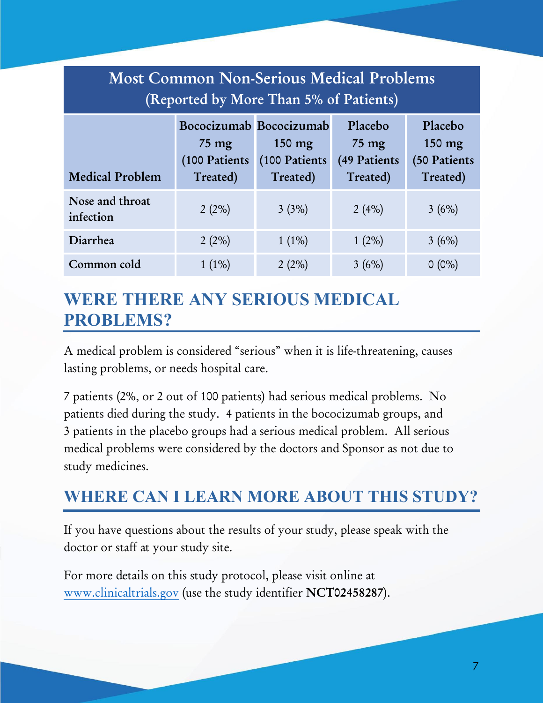| <b>Most Common Non-Serious Medical Problems</b><br>(Reported by More Than 5% of Patients) |                                                                         |                                               |                                                        |                                               |  |  |  |  |
|-------------------------------------------------------------------------------------------|-------------------------------------------------------------------------|-----------------------------------------------|--------------------------------------------------------|-----------------------------------------------|--|--|--|--|
| <b>Medical Problem</b>                                                                    | Bococizumab Bococizumab<br>$75 \text{ mg}$<br>(100 Patients<br>Treated) | $150 \text{ mg}$<br>(100 Patients<br>Treated) | Placebo<br>$75 \text{ mg}$<br>(49 Patients<br>Treated) | Placebo<br>150 mg<br>(50 Patients<br>Treated) |  |  |  |  |
| Nose and throat<br>infection                                                              | 2(2%)                                                                   | 3(3%)                                         | 2(4%)                                                  | 3(6%)                                         |  |  |  |  |
| Diarrhea                                                                                  | 2(2%)                                                                   | $1(1\%)$                                      | $1(2\%)$                                               | 3(6%)                                         |  |  |  |  |
| Common cold                                                                               | $1(1\%)$                                                                | 2(2%)                                         | 3(6%)                                                  | $O(0\%)$                                      |  |  |  |  |

### **WERE THERE ANY SERIOUS MEDICAL PROBLEMS?**

A medical problem is considered "serious" when it is life-threatening, causes lasting problems, or needs hospital care.

7 patients (2%, or 2 out of 100 patients) had serious medical problems. No patients died during the study. 4 patients in the bococizumab groups, and 3 patients in the placebo groups had a serious medical problem. All serious medical problems were considered by the doctors and Sponsor as not due to study medicines.

#### **WHERE CAN I LEARN MORE ABOUT THIS STUDY?**

If you have questions about the results of your study, please speak with the doctor or staff at your study site.

For more details on this study protocol, please visit online at [www.clinicaltrials.gov](http://www.clinicaltrials.gov/) (use the study identifier **NCT02458287**).